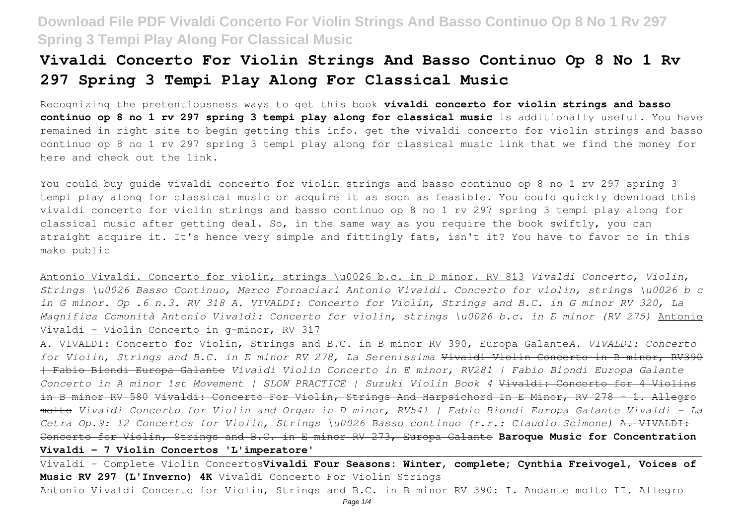# **Vivaldi Concerto For Violin Strings And Basso Continuo Op 8 No 1 Rv 297 Spring 3 Tempi Play Along For Classical Music**

Recognizing the pretentiousness ways to get this book **vivaldi concerto for violin strings and basso continuo op 8 no 1 rv 297 spring 3 tempi play along for classical music** is additionally useful. You have remained in right site to begin getting this info. get the vivaldi concerto for violin strings and basso continuo op 8 no 1 rv 297 spring 3 tempi play along for classical music link that we find the money for here and check out the link.

You could buy guide vivaldi concerto for violin strings and basso continuo op 8 no 1 rv 297 spring 3 tempi play along for classical music or acquire it as soon as feasible. You could quickly download this vivaldi concerto for violin strings and basso continuo op 8 no 1 rv 297 spring 3 tempi play along for classical music after getting deal. So, in the same way as you require the book swiftly, you can straight acquire it. It's hence very simple and fittingly fats, isn't it? You have to favor to in this make public

Antonio Vivaldi. Concerto for violin, strings \u0026 b.c. in D minor. RV 813 *Vivaldi Concerto, Violin, Strings \u0026 Basso Continuo, Marco Fornaciari Antonio Vivaldi. Concerto for violin, strings \u0026 b c in G minor. Op .6 n.3. RV 318 A. VIVALDI: Concerto for Violin, Strings and B.C. in G minor RV 320, La Magnifica Comunità Antonio Vivaldi: Concerto for violin, strings \u0026 b.c. in E minor (RV 275)* Antonio Vivaldi – Violin Concerto in g-minor, RV 317

A. VIVALDI: Concerto for Violin, Strings and B.C. in B minor RV 390, Europa Galante*A. VIVALDI: Concerto for Violin, Strings and B.C. in E minor RV 278, La Serenissima* Vivaldi Violin Concerto in B minor, RV390 | Fabio Biondi Europa Galante *Vivaldi Violin Concerto in E minor, RV281 | Fabio Biondi Europa Galante Concerto in A minor 1st Movement | SLOW PRACTICE | Suzuki Violin Book 4* Vivaldi: Concerto for 4 Violins in B minor RV 580 Vivaldi: Concerto For Violin, Strings And Harpsichord In E Minor, RV 278 - 1. Allegro molto *Vivaldi Concerto for Violin and Organ in D minor, RV541 | Fabio Biondi Europa Galante Vivaldi - La Cetra Op.9: 12 Concertos for Violin, Strings \u0026 Basso continuo (r.r.: Claudio Scimone)* A. VIVALDI: Concerto for Violin, Strings and B.C. in E minor RV 273, Europa Galante **Baroque Music for Concentration Vivaldi - 7 Violin Concertos 'L'imperatore'**

Vivaldi - Complete Violin Concertos**Vivaldi Four Seasons: Winter, complete; Cynthia Freivogel, Voices of Music RV 297 (L'Inverno) 4K** Vivaldi Concerto For Violin Strings Antonio Vivaldi Concerto for Violin, Strings and B.C. in B minor RV 390: I. Andante molto II. Allegro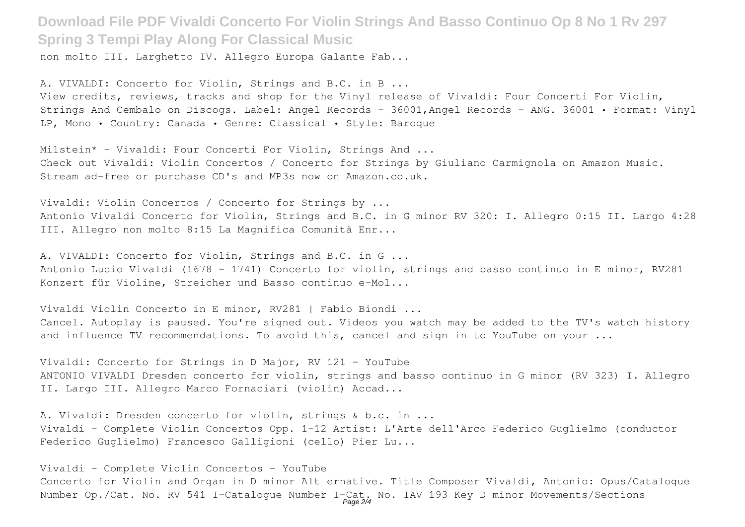non molto III. Larghetto IV. Allegro Europa Galante Fab...

A. VIVALDI: Concerto for Violin, Strings and B.C. in B ... View credits, reviews, tracks and shop for the Vinyl release of Vivaldi: Four Concerti For Violin, Strings And Cembalo on Discogs. Label: Angel Records - 36001,Angel Records - ANG. 36001 • Format: Vinyl LP, Mono • Country: Canada • Genre: Classical • Style: Baroque

Milstein\* - Vivaldi: Four Concerti For Violin, Strings And ... Check out Vivaldi: Violin Concertos / Concerto for Strings by Giuliano Carmignola on Amazon Music. Stream ad-free or purchase CD's and MP3s now on Amazon.co.uk.

Vivaldi: Violin Concertos / Concerto for Strings by ... Antonio Vivaldi Concerto for Violin, Strings and B.C. in G minor RV 320: I. Allegro 0:15 II. Largo 4:28 III. Allegro non molto 8:15 La Magnifica Comunità Enr...

A. VIVALDI: Concerto for Violin, Strings and B.C. in G ... Antonio Lucio Vivaldi (1678 - 1741) Concerto for violin, strings and basso continuo in E minor, RV281 Konzert für Violine, Streicher und Basso continuo e-Mol...

Vivaldi Violin Concerto in E minor, RV281 | Fabio Biondi ... Cancel. Autoplay is paused. You're signed out. Videos you watch may be added to the TV's watch history and influence TV recommendations. To avoid this, cancel and sign in to YouTube on your ...

Vivaldi: Concerto for Strings in D Major, RV 121 - YouTube ANTONIO VIVALDI Dresden concerto for violin, strings and basso continuo in G minor (RV 323) I. Allegro II. Largo III. Allegro Marco Fornaciari (violin) Accad...

A. Vivaldi: Dresden concerto for violin, strings & b.c. in ... Vivaldi - Complete Violin Concertos Opp. 1-12 Artist: L'Arte dell'Arco Federico Guglielmo (conductor Federico Guglielmo) Francesco Galligioni (cello) Pier Lu...

Vivaldi - Complete Violin Concertos - YouTube Concerto for Violin and Organ in D minor Alt ernative. Title Composer Vivaldi, Antonio: Opus/Catalogue Number Op./Cat. No. RV 541 I-Catalogue Number I-Cat. No. IAV 193 Key D minor Movements/Sections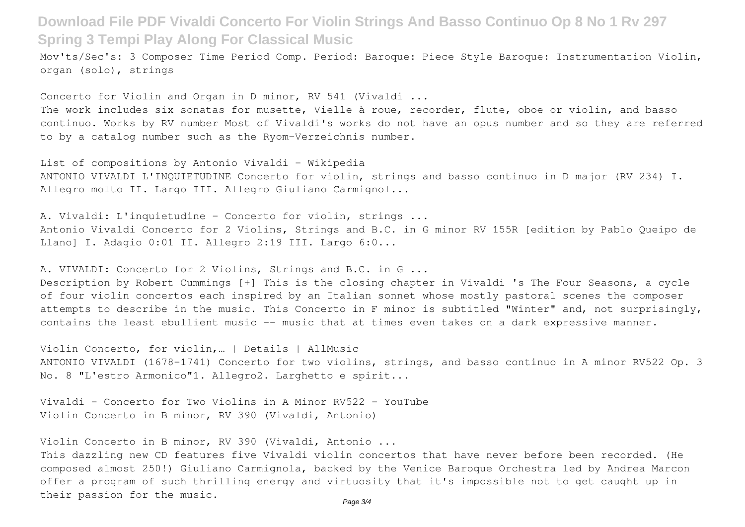Mov'ts/Sec's: 3 Composer Time Period Comp. Period: Baroque: Piece Style Baroque: Instrumentation Violin, organ (solo), strings

Concerto for Violin and Organ in D minor, RV 541 (Vivaldi ...

The work includes six sonatas for musette, Vielle à roue, recorder, flute, oboe or violin, and basso continuo. Works by RV number Most of Vivaldi's works do not have an opus number and so they are referred to by a catalog number such as the Ryom-Verzeichnis number.

List of compositions by Antonio Vivaldi - Wikipedia ANTONIO VIVALDI L'INQUIETUDINE Concerto for violin, strings and basso continuo in D major (RV 234) I. Allegro molto II. Largo III. Allegro Giuliano Carmignol...

A. Vivaldi: L'inquietudine - Concerto for violin, strings ... Antonio Vivaldi Concerto for 2 Violins, Strings and B.C. in G minor RV 155R [edition by Pablo Queipo de Llanol I. Adagio 0:01 II. Allegro 2:19 III. Largo 6:0...

A. VIVALDI: Concerto for 2 Violins, Strings and B.C. in G ...

Description by Robert Cummings [+] This is the closing chapter in Vivaldi 's The Four Seasons, a cycle of four violin concertos each inspired by an Italian sonnet whose mostly pastoral scenes the composer attempts to describe in the music. This Concerto in F minor is subtitled "Winter" and, not surprisingly, contains the least ebullient music -- music that at times even takes on a dark expressive manner.

Violin Concerto, for violin,… | Details | AllMusic ANTONIO VIVALDI (1678-1741) Concerto for two violins, strings, and basso continuo in A minor RV522 Op. 3 No. 8 "L'estro Armonico"1. Allegro2. Larghetto e spirit...

Vivaldi - Concerto for Two Violins in A Minor RV522 - YouTube Violin Concerto in B minor, RV 390 (Vivaldi, Antonio)

Violin Concerto in B minor, RV 390 (Vivaldi, Antonio ...

This dazzling new CD features five Vivaldi violin concertos that have never before been recorded. (He composed almost 250!) Giuliano Carmignola, backed by the Venice Baroque Orchestra led by Andrea Marcon offer a program of such thrilling energy and virtuosity that it's impossible not to get caught up in their passion for the music.